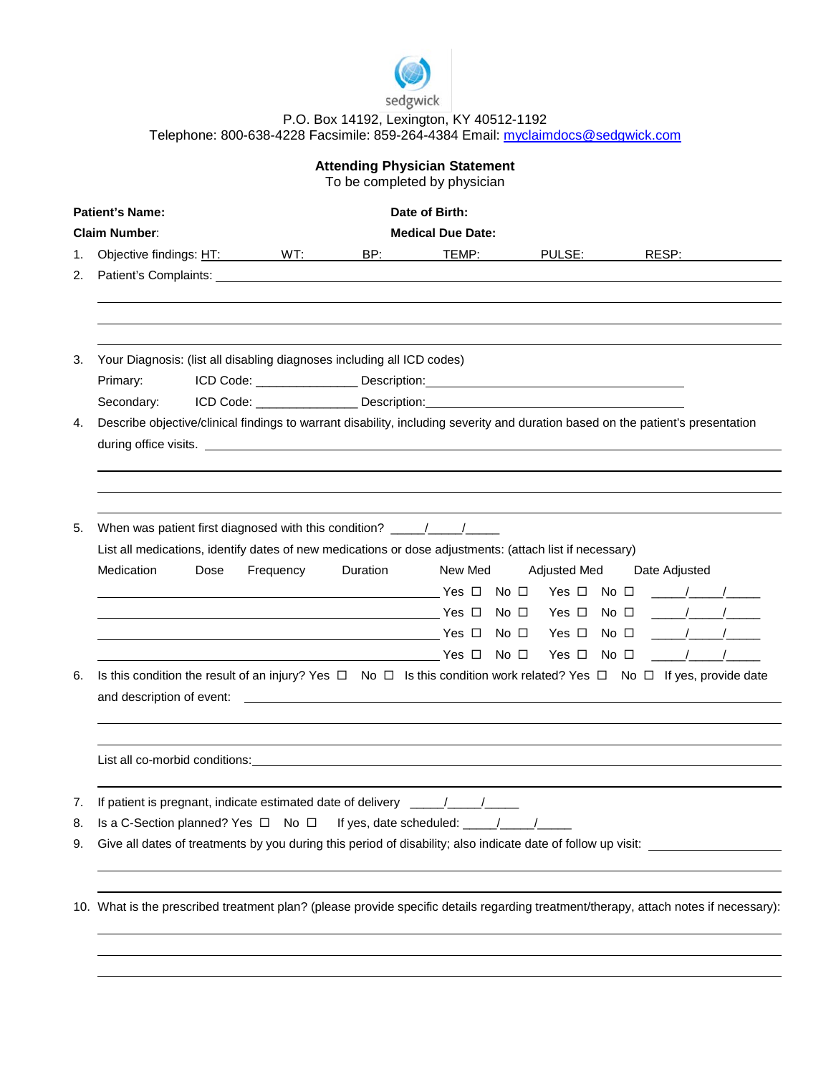

## P.O. Box 14192, Lexington, KY 40512-1192 Telephone: 800-638-4228 Facsimile: 859-264-4384 Email: [myclaimdocs@sedgwick.com](mailto:myclaimdocs@sedgwick.com)

| <b>Attending Physician Statement</b><br>To be completed by physician |                                                                                                                                                               |                                                                                                         |                             |          |         |                                                                                   |                                                                                                                                      |  |  |  |
|----------------------------------------------------------------------|---------------------------------------------------------------------------------------------------------------------------------------------------------------|---------------------------------------------------------------------------------------------------------|-----------------------------|----------|---------|-----------------------------------------------------------------------------------|--------------------------------------------------------------------------------------------------------------------------------------|--|--|--|
| Date of Birth:<br><b>Patient's Name:</b>                             |                                                                                                                                                               |                                                                                                         |                             |          |         |                                                                                   |                                                                                                                                      |  |  |  |
| <b>Claim Number:</b><br><b>Medical Due Date:</b>                     |                                                                                                                                                               |                                                                                                         |                             |          |         |                                                                                   |                                                                                                                                      |  |  |  |
| 1.                                                                   |                                                                                                                                                               |                                                                                                         | Objective findings: HT: WT: |          | TEMP:   | PULSE:                                                                            |                                                                                                                                      |  |  |  |
| 2.                                                                   |                                                                                                                                                               |                                                                                                         |                             |          |         |                                                                                   |                                                                                                                                      |  |  |  |
|                                                                      |                                                                                                                                                               |                                                                                                         |                             |          |         |                                                                                   |                                                                                                                                      |  |  |  |
|                                                                      |                                                                                                                                                               |                                                                                                         |                             |          |         |                                                                                   |                                                                                                                                      |  |  |  |
| 3.                                                                   | Your Diagnosis: (list all disabling diagnoses including all ICD codes)                                                                                        |                                                                                                         |                             |          |         |                                                                                   |                                                                                                                                      |  |  |  |
|                                                                      | Primary:                                                                                                                                                      |                                                                                                         |                             |          |         |                                                                                   |                                                                                                                                      |  |  |  |
|                                                                      | Secondary:                                                                                                                                                    |                                                                                                         |                             |          |         | ICD Code: ________________________ Description:__________________________________ |                                                                                                                                      |  |  |  |
| 4.                                                                   | Describe objective/clinical findings to warrant disability, including severity and duration based on the patient's presentation                               |                                                                                                         |                             |          |         |                                                                                   |                                                                                                                                      |  |  |  |
|                                                                      |                                                                                                                                                               |                                                                                                         |                             |          |         |                                                                                   |                                                                                                                                      |  |  |  |
|                                                                      |                                                                                                                                                               |                                                                                                         |                             |          |         |                                                                                   |                                                                                                                                      |  |  |  |
|                                                                      |                                                                                                                                                               |                                                                                                         |                             |          |         |                                                                                   |                                                                                                                                      |  |  |  |
|                                                                      |                                                                                                                                                               |                                                                                                         |                             |          |         |                                                                                   |                                                                                                                                      |  |  |  |
| 5.                                                                   | When was patient first diagnosed with this condition? ___________________________                                                                             |                                                                                                         |                             |          |         |                                                                                   |                                                                                                                                      |  |  |  |
|                                                                      |                                                                                                                                                               | List all medications, identify dates of new medications or dose adjustments: (attach list if necessary) |                             |          |         |                                                                                   |                                                                                                                                      |  |  |  |
|                                                                      | Medication                                                                                                                                                    | Dose                                                                                                    | Frequency                   | Duration | New Med | <b>Adjusted Med</b>                                                               | Date Adjusted                                                                                                                        |  |  |  |
|                                                                      |                                                                                                                                                               |                                                                                                         |                             |          |         |                                                                                   |                                                                                                                                      |  |  |  |
|                                                                      |                                                                                                                                                               |                                                                                                         |                             |          |         |                                                                                   |                                                                                                                                      |  |  |  |
|                                                                      |                                                                                                                                                               |                                                                                                         |                             |          |         |                                                                                   |                                                                                                                                      |  |  |  |
|                                                                      |                                                                                                                                                               |                                                                                                         |                             |          |         |                                                                                   |                                                                                                                                      |  |  |  |
| 6.                                                                   | Is this condition the result of an injury? Yes $\Box$ No $\Box$ Is this condition work related? Yes $\Box$ No $\Box$ If yes, provide date                     |                                                                                                         |                             |          |         |                                                                                   |                                                                                                                                      |  |  |  |
|                                                                      | and description of event:<br><u> 1989 - Johann Harry Harry Harry Harry Harry Harry Harry Harry Harry Harry Harry Harry Harry Harry Harry Harry</u>            |                                                                                                         |                             |          |         |                                                                                   |                                                                                                                                      |  |  |  |
|                                                                      |                                                                                                                                                               |                                                                                                         |                             |          |         |                                                                                   |                                                                                                                                      |  |  |  |
|                                                                      |                                                                                                                                                               |                                                                                                         |                             |          |         |                                                                                   |                                                                                                                                      |  |  |  |
|                                                                      | List all co-morbid conditions:                                                                                                                                |                                                                                                         |                             |          |         |                                                                                   |                                                                                                                                      |  |  |  |
|                                                                      |                                                                                                                                                               |                                                                                                         |                             |          |         |                                                                                   |                                                                                                                                      |  |  |  |
| 7.                                                                   |                                                                                                                                                               |                                                                                                         |                             |          |         |                                                                                   |                                                                                                                                      |  |  |  |
| 8.                                                                   | If patient is pregnant, indicate estimated date of delivery ____/___/_____<br>Is a C-Section planned? Yes $\Box$ No $\Box$ If yes, date scheduled: ____/___/_ |                                                                                                         |                             |          |         |                                                                                   |                                                                                                                                      |  |  |  |
| 9.                                                                   | Give all dates of treatments by you during this period of disability; also indicate date of follow up visit:                                                  |                                                                                                         |                             |          |         |                                                                                   |                                                                                                                                      |  |  |  |
|                                                                      |                                                                                                                                                               |                                                                                                         |                             |          |         |                                                                                   |                                                                                                                                      |  |  |  |
|                                                                      |                                                                                                                                                               |                                                                                                         |                             |          |         |                                                                                   |                                                                                                                                      |  |  |  |
|                                                                      |                                                                                                                                                               |                                                                                                         |                             |          |         |                                                                                   | 10. What is the prescribed treatment plan? (please provide specific details regarding treatment/therapy, attach notes if necessary): |  |  |  |
|                                                                      |                                                                                                                                                               |                                                                                                         |                             |          |         |                                                                                   |                                                                                                                                      |  |  |  |
|                                                                      |                                                                                                                                                               |                                                                                                         |                             |          |         |                                                                                   |                                                                                                                                      |  |  |  |
|                                                                      |                                                                                                                                                               |                                                                                                         |                             |          |         |                                                                                   |                                                                                                                                      |  |  |  |